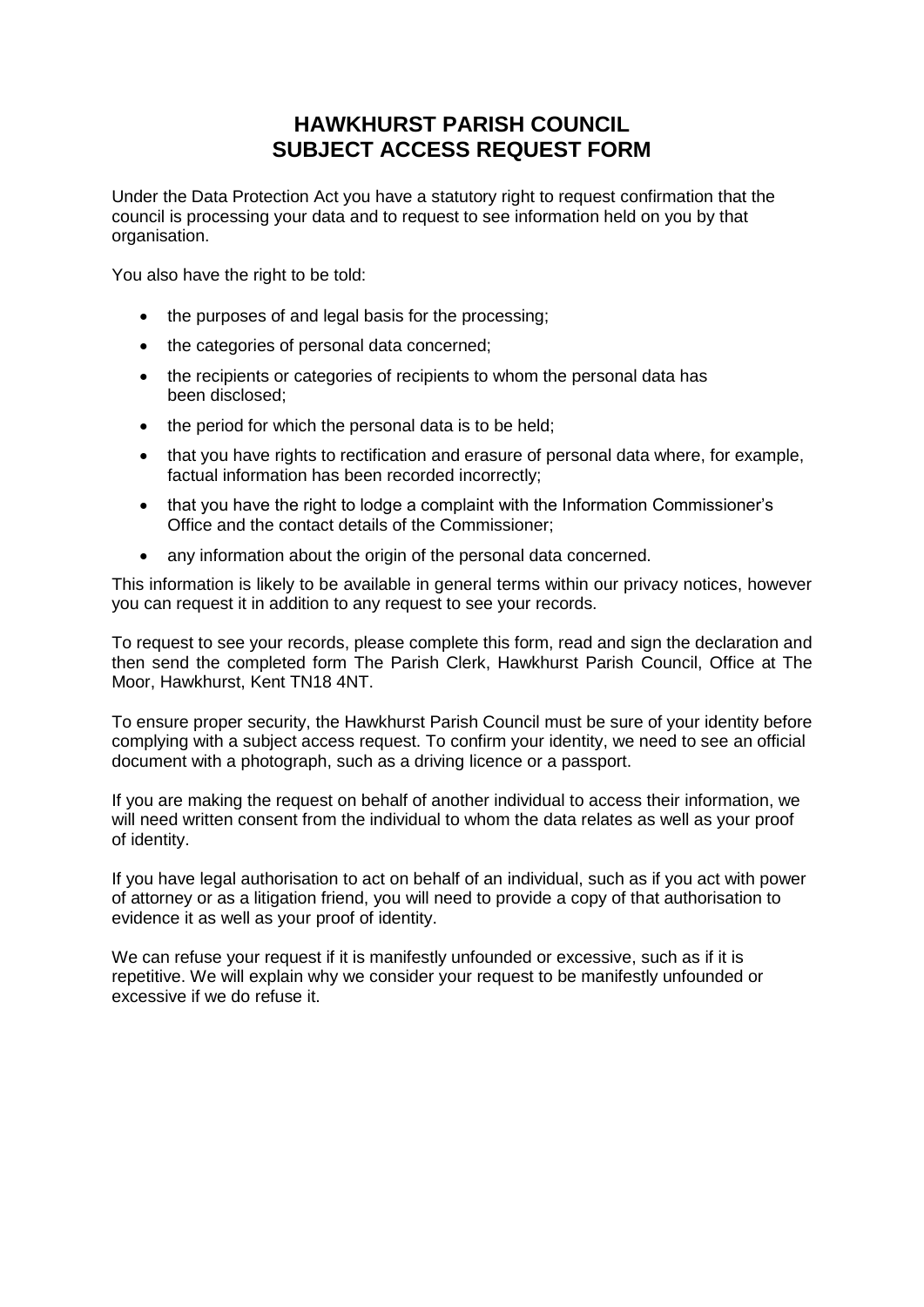## **HAWKHURST PARISH COUNCIL SUBJECT ACCESS REQUEST FORM**

Under the Data Protection Act you have a statutory right to request confirmation that the council is processing your data and to request to see information held on you by that organisation.

You also have the right to be told:

- the purposes of and legal basis for the processing:
- the categories of personal data concerned;
- the recipients or categories of recipients to whom the personal data has been disclosed;
- the period for which the personal data is to be held;
- that you have rights to rectification and erasure of personal data where, for example, factual information has been recorded incorrectly;
- that you have the right to lodge a complaint with the Information Commissioner's Office and the contact details of the Commissioner;
- any information about the origin of the personal data concerned.

This information is likely to be available in general terms within our privacy notices, however you can request it in addition to any request to see your records.

To request to see your records, please complete this form, read and sign the declaration and then send the completed form The Parish Clerk, Hawkhurst Parish Council, Office at The Moor, Hawkhurst, Kent TN18 4NT.

To ensure proper security, the Hawkhurst Parish Council must be sure of your identity before complying with a subject access request. To confirm your identity, we need to see an official document with a photograph, such as a driving licence or a passport.

If you are making the request on behalf of another individual to access their information, we will need written consent from the individual to whom the data relates as well as your proof of identity.

If you have legal authorisation to act on behalf of an individual, such as if you act with power of attorney or as a litigation friend, you will need to provide a copy of that authorisation to evidence it as well as your proof of identity.

We can refuse your request if it is manifestly unfounded or excessive, such as if it is repetitive. We will explain why we consider your request to be manifestly unfounded or excessive if we do refuse it.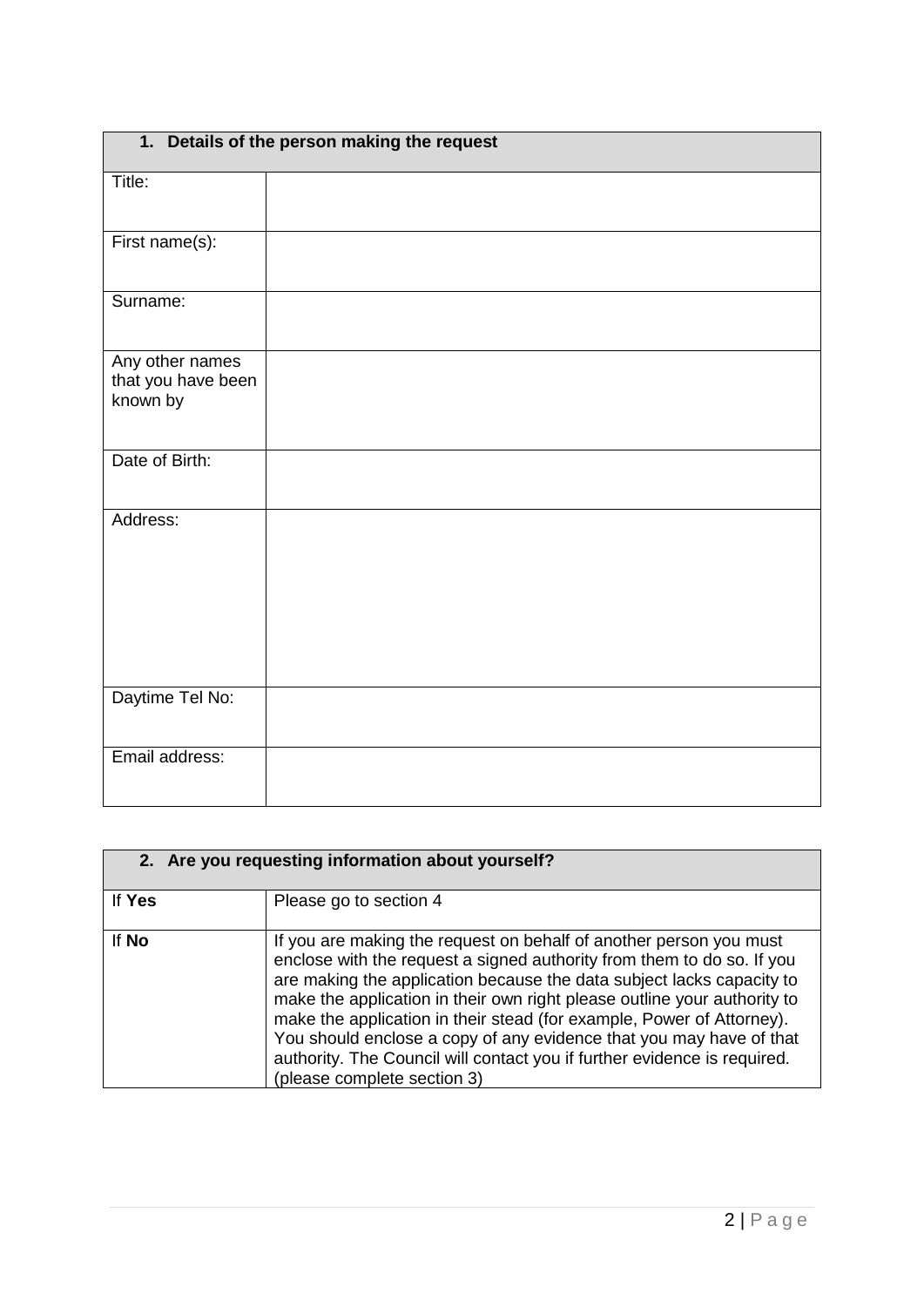| 1. Details of the person making the request       |  |  |
|---------------------------------------------------|--|--|
| Title:                                            |  |  |
| First name(s):                                    |  |  |
| Surname:                                          |  |  |
| Any other names<br>that you have been<br>known by |  |  |
| Date of Birth:                                    |  |  |
| Address:                                          |  |  |
| Daytime Tel No:                                   |  |  |
| Email address:                                    |  |  |

| 2. Are you requesting information about yourself? |                                                                                                                                                                                                                                                                                                                                                                                                                                                                                                                                                              |  |
|---------------------------------------------------|--------------------------------------------------------------------------------------------------------------------------------------------------------------------------------------------------------------------------------------------------------------------------------------------------------------------------------------------------------------------------------------------------------------------------------------------------------------------------------------------------------------------------------------------------------------|--|
| If Yes                                            | Please go to section 4                                                                                                                                                                                                                                                                                                                                                                                                                                                                                                                                       |  |
| If No                                             | If you are making the request on behalf of another person you must<br>enclose with the request a signed authority from them to do so. If you<br>are making the application because the data subject lacks capacity to<br>make the application in their own right please outline your authority to<br>make the application in their stead (for example, Power of Attorney).<br>You should enclose a copy of any evidence that you may have of that<br>authority. The Council will contact you if further evidence is required.<br>(please complete section 3) |  |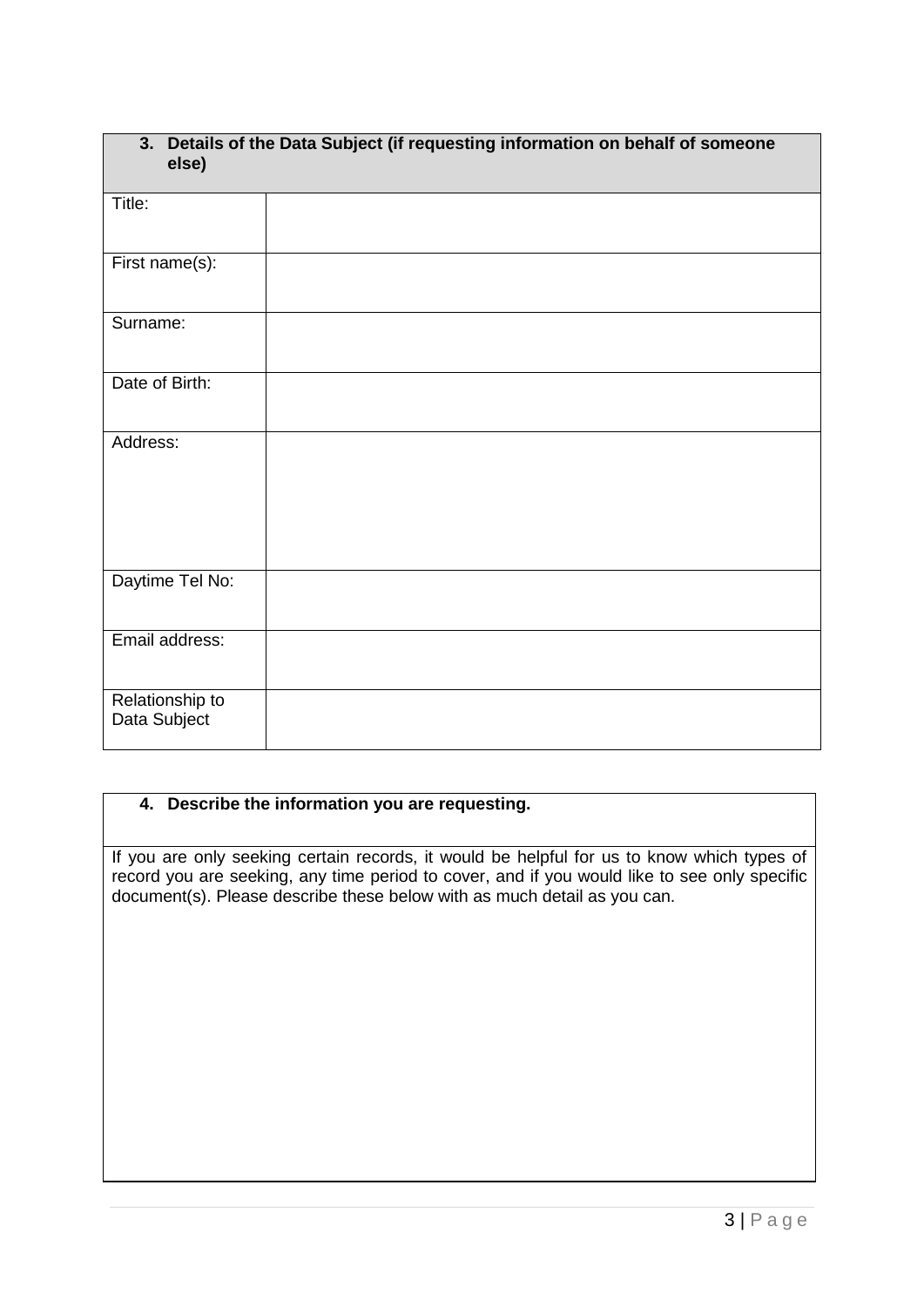| 3. Details of the Data Subject (if requesting information on behalf of someone<br>else) |  |
|-----------------------------------------------------------------------------------------|--|
| Title:                                                                                  |  |
| First name(s):                                                                          |  |
| Surname:                                                                                |  |
| Date of Birth:                                                                          |  |
| Address:                                                                                |  |
| Daytime Tel No:                                                                         |  |
| Email address:                                                                          |  |
| Relationship to<br>Data Subject                                                         |  |

## **4. Describe the information you are requesting.**

If you are only seeking certain records, it would be helpful for us to know which types of record you are seeking, any time period to cover, and if you would like to see only specific document(s). Please describe these below with as much detail as you can.